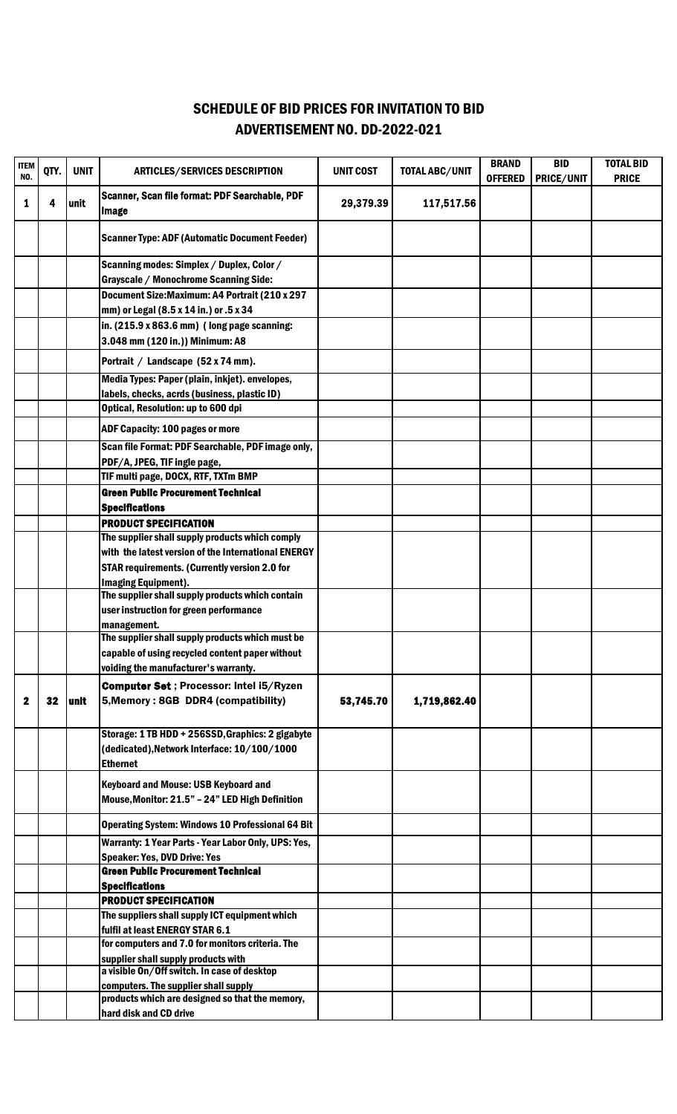## ADVERTISEMENT NO. DD-2022-021 SCHEDULE OF BID PRICES FOR INVITATION TO BID

| <b>ITEM</b><br>NO. | QTY. | <b>UNIT</b> | <b>ARTICLES/SERVICES DESCRIPTION</b>                                                                 | <b>UNIT COST</b> | <b>TOTAL ABC/UNIT</b> | <b>BRAND</b><br><b>OFFERED</b> | <b>BID</b><br>PRICE/UNIT | <b>TOTAL BID</b><br><b>PRICE</b> |
|--------------------|------|-------------|------------------------------------------------------------------------------------------------------|------------------|-----------------------|--------------------------------|--------------------------|----------------------------------|
| 1                  | 4    | unit        | Scanner, Scan file format: PDF Searchable, PDF<br><b>Image</b>                                       | 29,379.39        | 117,517.56            |                                |                          |                                  |
|                    |      |             | <b>Scanner Type: ADF (Automatic Document Feeder)</b>                                                 |                  |                       |                                |                          |                                  |
|                    |      |             | Scanning modes: Simplex / Duplex, Color /                                                            |                  |                       |                                |                          |                                  |
|                    |      |             | <b>Grayscale / Monochrome Scanning Side:</b>                                                         |                  |                       |                                |                          |                                  |
|                    |      |             | Document Size: Maximum: A4 Portrait (210 x 297                                                       |                  |                       |                                |                          |                                  |
|                    |      |             | mm) or Legal (8.5 x 14 in.) or .5 x 34<br>in. $(215.9 \times 863.6 \text{ mm})$ (long page scanning: |                  |                       |                                |                          |                                  |
|                    |      |             | 3.048 mm (120 in.)) Minimum: A8                                                                      |                  |                       |                                |                          |                                  |
|                    |      |             | Portrait / Landscape (52 x 74 mm).                                                                   |                  |                       |                                |                          |                                  |
|                    |      |             | Media Types: Paper (plain, inkjet). envelopes,                                                       |                  |                       |                                |                          |                                  |
|                    |      |             | labels, checks, acrds (business, plastic ID)                                                         |                  |                       |                                |                          |                                  |
|                    |      |             | Optical, Resolution: up to 600 dpi                                                                   |                  |                       |                                |                          |                                  |
|                    |      |             | <b>ADF Capacity: 100 pages or more</b>                                                               |                  |                       |                                |                          |                                  |
|                    |      |             | Scan file Format: PDF Searchable, PDF image only,                                                    |                  |                       |                                |                          |                                  |
|                    |      |             | PDF/A, JPEG, TIF ingle page,                                                                         |                  |                       |                                |                          |                                  |
|                    |      |             | TIF multi page, DOCX, RTF, TXTm BMP                                                                  |                  |                       |                                |                          |                                  |
|                    |      |             | <b>Green Public Procurement Technical</b>                                                            |                  |                       |                                |                          |                                  |
|                    |      |             | <b>Specifications</b>                                                                                |                  |                       |                                |                          |                                  |
|                    |      |             | <b>PRODUCT SPECIFICATION</b><br>The supplier shall supply products which comply                      |                  |                       |                                |                          |                                  |
|                    |      |             | with the latest version of the International ENERGY                                                  |                  |                       |                                |                          |                                  |
|                    |      |             | <b>STAR requirements. (Currently version 2.0 for</b>                                                 |                  |                       |                                |                          |                                  |
|                    |      |             | <b>Imaging Equipment).</b>                                                                           |                  |                       |                                |                          |                                  |
|                    |      |             | The supplier shall supply products which contain                                                     |                  |                       |                                |                          |                                  |
|                    |      |             | user instruction for green performance                                                               |                  |                       |                                |                          |                                  |
|                    |      |             | management.<br>The supplier shall supply products which must be                                      |                  |                       |                                |                          |                                  |
|                    |      |             | capable of using recycled content paper without                                                      |                  |                       |                                |                          |                                  |
|                    |      |             | voiding the manufacturer's warranty.                                                                 |                  |                       |                                |                          |                                  |
|                    |      |             | <b>Computer Set ; Processor: Intel i5/Ryzen</b>                                                      |                  |                       |                                |                          |                                  |
| 2                  | 32   | unit        | 5, Memory: 8GB DDR4 (compatibility)                                                                  | 53,745.70        | 1,719,862.40          |                                |                          |                                  |
|                    |      |             |                                                                                                      |                  |                       |                                |                          |                                  |
|                    |      |             | Storage: 1 TB HDD + 256SSD, Graphics: 2 gigabyte                                                     |                  |                       |                                |                          |                                  |
|                    |      |             | (dedicated), Network Interface: 10/100/1000<br><b>Ethernet</b>                                       |                  |                       |                                |                          |                                  |
|                    |      |             | <b>Keyboard and Mouse: USB Keyboard and</b>                                                          |                  |                       |                                |                          |                                  |
|                    |      |             | Mouse, Monitor: 21.5" - 24" LED High Definition                                                      |                  |                       |                                |                          |                                  |
|                    |      |             | <b>Operating System: Windows 10 Professional 64 Bit</b>                                              |                  |                       |                                |                          |                                  |
|                    |      |             | Warranty: 1 Year Parts - Year Labor Only, UPS: Yes,                                                  |                  |                       |                                |                          |                                  |
|                    |      |             | <b>Speaker: Yes, DVD Drive: Yes</b>                                                                  |                  |                       |                                |                          |                                  |
|                    |      |             | <b>Green Public Procurement Technical</b>                                                            |                  |                       |                                |                          |                                  |
|                    |      |             | <b>Specifications</b>                                                                                |                  |                       |                                |                          |                                  |
|                    |      |             | <b>PRODUCT SPECIFICATION</b><br>The suppliers shall supply ICT equipment which                       |                  |                       |                                |                          |                                  |
|                    |      |             | fulfil at least ENERGY STAR 6.1                                                                      |                  |                       |                                |                          |                                  |
|                    |      |             | for computers and 7.0 for monitors criteria. The                                                     |                  |                       |                                |                          |                                  |
|                    |      |             | supplier shall supply products with                                                                  |                  |                       |                                |                          |                                  |
|                    |      |             | a visible On/Off switch. In case of desktop                                                          |                  |                       |                                |                          |                                  |
|                    |      |             | computers. The supplier shall supply<br>products which are designed so that the memory,              |                  |                       |                                |                          |                                  |
|                    |      |             | hard disk and CD drive                                                                               |                  |                       |                                |                          |                                  |
|                    |      |             |                                                                                                      |                  |                       |                                |                          |                                  |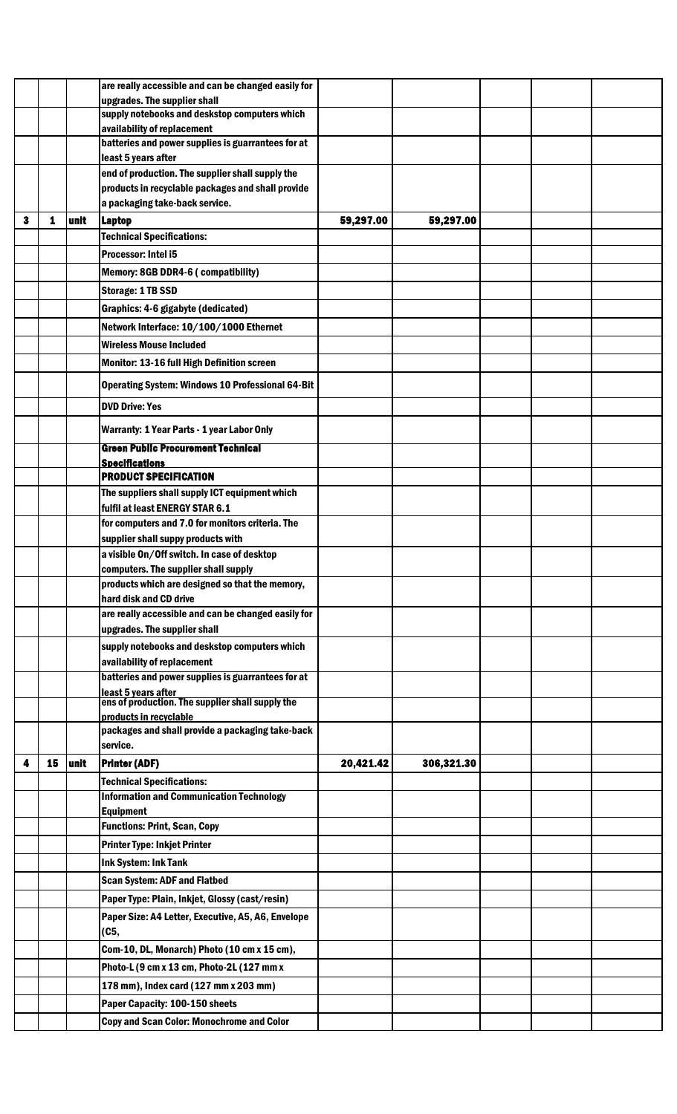|   |    |      | are really accessible and can be changed easily for                        |           |            |  |  |
|---|----|------|----------------------------------------------------------------------------|-----------|------------|--|--|
|   |    |      | upgrades. The supplier shall                                               |           |            |  |  |
|   |    |      | supply notebooks and deskstop computers which                              |           |            |  |  |
|   |    |      | availability of replacement                                                |           |            |  |  |
|   |    |      | batteries and power supplies is guarrantees for at                         |           |            |  |  |
|   |    |      | least 5 years after                                                        |           |            |  |  |
|   |    |      | end of production. The supplier shall supply the                           |           |            |  |  |
|   |    |      | products in recyclable packages and shall provide                          |           |            |  |  |
|   |    |      | a packaging take-back service.                                             |           |            |  |  |
| з | 1  | unit | <b>Laptop</b>                                                              | 59,297.00 | 59,297.00  |  |  |
|   |    |      | <b>Technical Specifications:</b>                                           |           |            |  |  |
|   |    |      | Processor: Intel i5                                                        |           |            |  |  |
|   |    |      | Memory: 8GB DDR4-6 (compatibility)                                         |           |            |  |  |
|   |    |      | <b>Storage: 1 TB SSD</b>                                                   |           |            |  |  |
|   |    |      | Graphics: 4-6 gigabyte (dedicated)                                         |           |            |  |  |
|   |    |      | Network Interface: 10/100/1000 Ethernet                                    |           |            |  |  |
|   |    |      | <b>Wireless Mouse Included</b>                                             |           |            |  |  |
|   |    |      | Monitor: 13-16 full High Definition screen                                 |           |            |  |  |
|   |    |      |                                                                            |           |            |  |  |
|   |    |      | <b>Operating System: Windows 10 Professional 64-Bit</b>                    |           |            |  |  |
|   |    |      | <b>DVD Drive: Yes</b>                                                      |           |            |  |  |
|   |    |      | Warranty: 1 Year Parts - 1 year Labor Only                                 |           |            |  |  |
|   |    |      | <b>Green Public Procurement Technical</b>                                  |           |            |  |  |
|   |    |      | <b>Specifications</b>                                                      |           |            |  |  |
|   |    |      | <b>PRODUCT SPECIFICATION</b>                                               |           |            |  |  |
|   |    |      | The suppliers shall supply ICT equipment which                             |           |            |  |  |
|   |    |      | fulfil at least ENERGY STAR 6.1                                            |           |            |  |  |
|   |    |      | for computers and 7.0 for monitors criteria. The                           |           |            |  |  |
|   |    |      | supplier shall suppy products with                                         |           |            |  |  |
|   |    |      | a visible On/Off switch. In case of desktop                                |           |            |  |  |
|   |    |      | computers. The supplier shall supply                                       |           |            |  |  |
|   |    |      | products which are designed so that the memory,<br>hard disk and CD drive  |           |            |  |  |
|   |    |      | are really accessible and can be changed easily for                        |           |            |  |  |
|   |    |      | upgrades. The supplier shall                                               |           |            |  |  |
|   |    |      | supply notebooks and deskstop computers which                              |           |            |  |  |
|   |    |      | availability of replacement                                                |           |            |  |  |
|   |    |      | batteries and power supplies is guarrantees for at                         |           |            |  |  |
|   |    |      | least 5 years after                                                        |           |            |  |  |
|   |    |      | ens of production. The supplier shall supply the<br>products in recyclable |           |            |  |  |
|   |    |      | packages and shall provide a packaging take-back                           |           |            |  |  |
|   |    |      | service.                                                                   |           |            |  |  |
| 4 | 15 | unit | <b>Printer (ADF)</b>                                                       | 20,421.42 | 306,321.30 |  |  |
|   |    |      | <b>Technical Specifications:</b>                                           |           |            |  |  |
|   |    |      | <b>Information and Communication Technology</b>                            |           |            |  |  |
|   |    |      | <b>Equipment</b>                                                           |           |            |  |  |
|   |    |      | <b>Functions: Print, Scan, Copy</b>                                        |           |            |  |  |
|   |    |      | <b>Printer Type: Inkjet Printer</b>                                        |           |            |  |  |
|   |    |      | <b>Ink System: Ink Tank</b>                                                |           |            |  |  |
|   |    |      | <b>Scan System: ADF and Flatbed</b>                                        |           |            |  |  |
|   |    |      | Paper Type: Plain, Inkjet, Glossy (cast/resin)                             |           |            |  |  |
|   |    |      | Paper Size: A4 Letter, Executive, A5, A6, Envelope                         |           |            |  |  |
|   |    |      | (C5,                                                                       |           |            |  |  |
|   |    |      | Com-10, DL, Monarch) Photo (10 cm x 15 cm),                                |           |            |  |  |
|   |    |      | Photo-L (9 cm x 13 cm, Photo-2L (127 mm x                                  |           |            |  |  |
|   |    |      | 178 mm), Index card (127 mm x 203 mm)                                      |           |            |  |  |
|   |    |      | Paper Capacity: 100-150 sheets                                             |           |            |  |  |
|   |    |      | <b>Copy and Scan Color: Monochrome and Color</b>                           |           |            |  |  |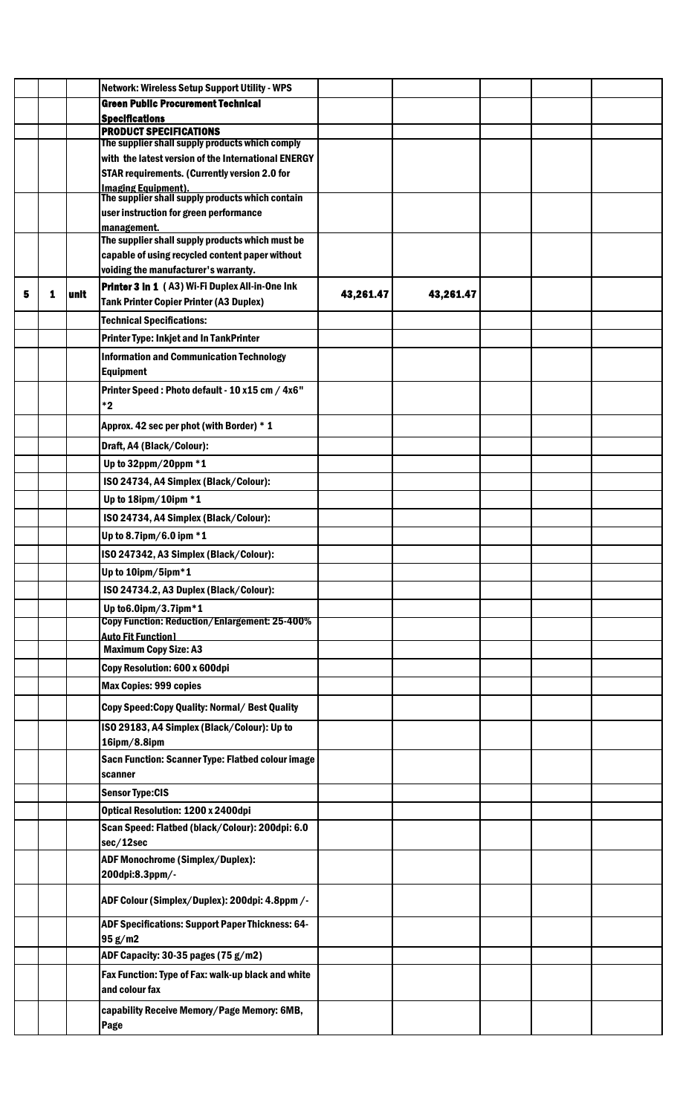|   |   |      | Network: Wireless Setup Support Utility - WPS                                  |           |           |  |  |
|---|---|------|--------------------------------------------------------------------------------|-----------|-----------|--|--|
|   |   |      | <b>Green Public Procurement Technical</b>                                      |           |           |  |  |
|   |   |      | <b>Specifications</b>                                                          |           |           |  |  |
|   |   |      | <b>PRODUCT SPECIFICATIONS</b>                                                  |           |           |  |  |
|   |   |      | The supplier shall supply products which comply                                |           |           |  |  |
|   |   |      | with the latest version of the International ENERGY                            |           |           |  |  |
|   |   |      | <b>STAR requirements. (Currently version 2.0 for</b>                           |           |           |  |  |
|   |   |      | <u>Imaging Equipment).</u><br>The supplier shall supply products which contain |           |           |  |  |
|   |   |      | user instruction for green performance                                         |           |           |  |  |
|   |   |      | management.<br>The supplier shall supply products which must be                |           |           |  |  |
|   |   |      | capable of using recycled content paper without                                |           |           |  |  |
|   |   |      | voiding the manufacturer's warranty.                                           |           |           |  |  |
|   |   |      | Printer 3 in 1 (A3) Wi-Fi Duplex All-in-One Ink                                |           |           |  |  |
| 5 | 1 | unit | Tank Printer Copier Printer (A3 Duplex)                                        | 43,261.47 | 43,261.47 |  |  |
|   |   |      | <b>Technical Specifications:</b>                                               |           |           |  |  |
|   |   |      | <b>Printer Type: Inkjet and In TankPrinter</b>                                 |           |           |  |  |
|   |   |      | <b>Information and Communication Technology</b>                                |           |           |  |  |
|   |   |      | Equipment                                                                      |           |           |  |  |
|   |   |      | Printer Speed: Photo default - 10 x15 cm / 4x6"                                |           |           |  |  |
|   |   |      | $*2$                                                                           |           |           |  |  |
|   |   |      | Approx. 42 sec per phot (with Border) * 1                                      |           |           |  |  |
|   |   |      | Draft, A4 (Black/Colour):                                                      |           |           |  |  |
|   |   |      | Up to 32ppm/20ppm *1                                                           |           |           |  |  |
|   |   |      | ISO 24734, A4 Simplex (Black/Colour):                                          |           |           |  |  |
|   |   |      | Up to 18ipm/10ipm *1                                                           |           |           |  |  |
|   |   |      | ISO 24734, A4 Simplex (Black/Colour):                                          |           |           |  |  |
|   |   |      | Up to 8.7ipm/6.0 ipm $*1$                                                      |           |           |  |  |
|   |   |      | ISO 247342, A3 Simplex (Black/Colour):                                         |           |           |  |  |
|   |   |      | Up to 10ipm/5ipm*1                                                             |           |           |  |  |
|   |   |      |                                                                                |           |           |  |  |
|   |   |      | ISO 24734.2, A3 Duplex (Black/Colour):                                         |           |           |  |  |
|   |   |      | Up to 6.0ipm/3.7ipm*1<br>Copy Function: Reduction/Enlargement: 25-400%         |           |           |  |  |
|   |   |      | <b>Auto Fit Function1</b>                                                      |           |           |  |  |
|   |   |      | <b>Maximum Copy Size: A3</b>                                                   |           |           |  |  |
|   |   |      | Copy Resolution: 600 x 600dpi                                                  |           |           |  |  |
|   |   |      | <b>Max Copies: 999 copies</b>                                                  |           |           |  |  |
|   |   |      | Copy Speed: Copy Quality: Normal/ Best Quality                                 |           |           |  |  |
|   |   |      | ISO 29183, A4 Simplex (Black/Colour): Up to                                    |           |           |  |  |
|   |   |      | 16ipm/8.8ipm                                                                   |           |           |  |  |
|   |   |      | Sacn Function: Scanner Type: Flatbed colour image                              |           |           |  |  |
|   |   |      | scanner                                                                        |           |           |  |  |
|   |   |      | <b>Sensor Type:CIS</b>                                                         |           |           |  |  |
|   |   |      | Optical Resolution: 1200 x 2400dpi                                             |           |           |  |  |
|   |   |      | Scan Speed: Flatbed (black/Colour): 200dpi: 6.0                                |           |           |  |  |
|   |   |      | sec/12sec                                                                      |           |           |  |  |
|   |   |      | <b>ADF Monochrome (Simplex/Duplex):</b>                                        |           |           |  |  |
|   |   |      | 200dpi:8.3ppm/-                                                                |           |           |  |  |
|   |   |      | ADF Colour (Simplex/Duplex): 200dpi: 4.8ppm /-                                 |           |           |  |  |
|   |   |      | <b>ADF Specifications: Support Paper Thickness: 64-</b>                        |           |           |  |  |
|   |   |      | 95 g/m2                                                                        |           |           |  |  |
|   |   |      | ADF Capacity: 30-35 pages (75 g/m2)                                            |           |           |  |  |
|   |   |      | Fax Function: Type of Fax: walk-up black and white                             |           |           |  |  |
|   |   |      | and colour fax                                                                 |           |           |  |  |
|   |   |      | capability Receive Memory/Page Memory: 6MB,                                    |           |           |  |  |
|   |   |      | Page                                                                           |           |           |  |  |